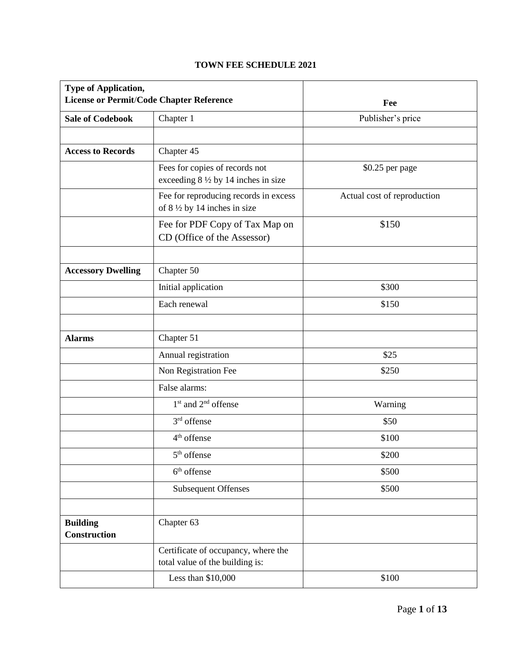## **TOWN FEE SCHEDULE 2021**

| <b>Type of Application,</b><br><b>License or Permit/Code Chapter Reference</b> |                                                                                 | Fee                         |
|--------------------------------------------------------------------------------|---------------------------------------------------------------------------------|-----------------------------|
| <b>Sale of Codebook</b>                                                        | Chapter 1                                                                       | Publisher's price           |
|                                                                                |                                                                                 |                             |
| <b>Access to Records</b>                                                       | Chapter 45                                                                      |                             |
|                                                                                | Fees for copies of records not<br>exceeding $8\frac{1}{2}$ by 14 inches in size | \$0.25 per page             |
|                                                                                | Fee for reproducing records in excess<br>of $8\frac{1}{2}$ by 14 inches in size | Actual cost of reproduction |
|                                                                                | Fee for PDF Copy of Tax Map on<br>CD (Office of the Assessor)                   | \$150                       |
| <b>Accessory Dwelling</b>                                                      | Chapter 50                                                                      |                             |
|                                                                                | Initial application                                                             | \$300                       |
|                                                                                | Each renewal                                                                    | \$150                       |
|                                                                                |                                                                                 |                             |
| <b>Alarms</b>                                                                  | Chapter 51                                                                      |                             |
|                                                                                | Annual registration                                                             | \$25                        |
|                                                                                | Non Registration Fee                                                            | \$250                       |
|                                                                                | False alarms:                                                                   |                             |
|                                                                                | 1 <sup>st</sup> and 2 <sup>nd</sup> offense                                     | Warning                     |
|                                                                                | $3rd$ offense                                                                   | \$50                        |
|                                                                                | 4 <sup>th</sup> offense                                                         | \$100                       |
|                                                                                | 5 <sup>th</sup> offense                                                         | \$200                       |
|                                                                                | $6th$ offense                                                                   | \$500                       |
|                                                                                | Subsequent Offenses                                                             | \$500                       |
|                                                                                |                                                                                 |                             |
| <b>Building</b><br><b>Construction</b>                                         | Chapter 63                                                                      |                             |
|                                                                                | Certificate of occupancy, where the<br>total value of the building is:          |                             |
|                                                                                | Less than $$10,000$                                                             | \$100                       |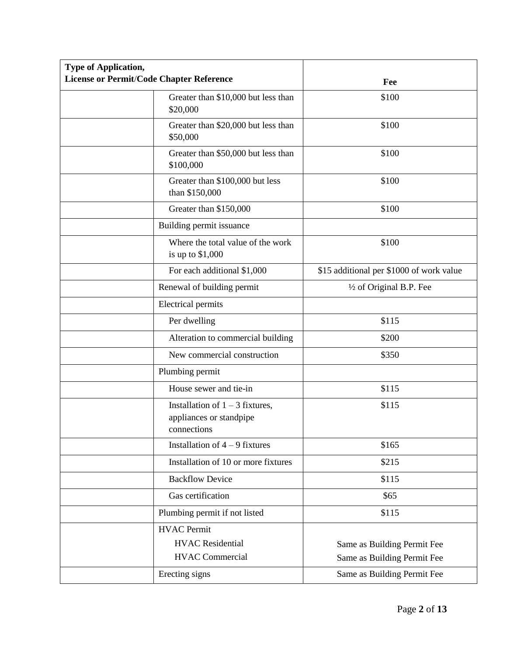| <b>Type of Application,</b>              |                                                                             |                                          |  |
|------------------------------------------|-----------------------------------------------------------------------------|------------------------------------------|--|
| License or Permit/Code Chapter Reference |                                                                             | Fee                                      |  |
|                                          | Greater than \$10,000 but less than<br>\$20,000                             | \$100                                    |  |
|                                          | Greater than \$20,000 but less than<br>\$50,000                             | \$100                                    |  |
|                                          | Greater than \$50,000 but less than<br>\$100,000                            | \$100                                    |  |
|                                          | Greater than \$100,000 but less<br>than \$150,000                           | \$100                                    |  |
|                                          | Greater than \$150,000                                                      | \$100                                    |  |
|                                          | Building permit issuance                                                    |                                          |  |
|                                          | Where the total value of the work<br>is up to $$1,000$                      | \$100                                    |  |
|                                          | For each additional \$1,000                                                 | \$15 additional per \$1000 of work value |  |
|                                          | Renewal of building permit                                                  | $\frac{1}{2}$ of Original B.P. Fee       |  |
|                                          | <b>Electrical permits</b>                                                   |                                          |  |
|                                          | Per dwelling                                                                | \$115                                    |  |
|                                          | Alteration to commercial building                                           | \$200                                    |  |
|                                          | New commercial construction                                                 | \$350                                    |  |
|                                          | Plumbing permit                                                             |                                          |  |
|                                          | House sewer and tie-in                                                      | \$115                                    |  |
|                                          | Installation of $1 - 3$ fixtures,<br>appliances or standpipe<br>connections | \$115                                    |  |
|                                          | Installation of $4 - 9$ fixtures                                            | \$165                                    |  |
|                                          | Installation of 10 or more fixtures                                         | \$215                                    |  |
|                                          | <b>Backflow Device</b>                                                      | \$115                                    |  |
|                                          | Gas certification                                                           | \$65                                     |  |
|                                          | Plumbing permit if not listed                                               | \$115                                    |  |
|                                          | <b>HVAC</b> Permit                                                          |                                          |  |
|                                          | <b>HVAC</b> Residential                                                     | Same as Building Permit Fee              |  |
|                                          | <b>HVAC Commercial</b>                                                      | Same as Building Permit Fee              |  |
|                                          | Erecting signs                                                              | Same as Building Permit Fee              |  |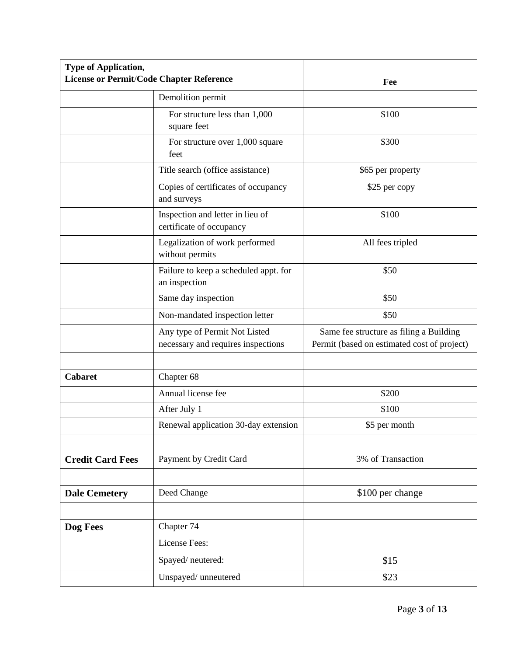| <b>Type of Application,</b><br><b>License or Permit/Code Chapter Reference</b> |                                                                     |                                                                                        |  |
|--------------------------------------------------------------------------------|---------------------------------------------------------------------|----------------------------------------------------------------------------------------|--|
|                                                                                |                                                                     | Fee                                                                                    |  |
|                                                                                | Demolition permit                                                   |                                                                                        |  |
|                                                                                | For structure less than 1,000<br>square feet                        | \$100                                                                                  |  |
|                                                                                | For structure over 1,000 square<br>feet                             | \$300                                                                                  |  |
|                                                                                | Title search (office assistance)                                    | \$65 per property                                                                      |  |
|                                                                                | Copies of certificates of occupancy<br>and surveys                  | \$25 per copy                                                                          |  |
|                                                                                | Inspection and letter in lieu of<br>certificate of occupancy        | \$100                                                                                  |  |
|                                                                                | Legalization of work performed<br>without permits                   | All fees tripled                                                                       |  |
|                                                                                | Failure to keep a scheduled appt. for<br>an inspection              | \$50                                                                                   |  |
|                                                                                | Same day inspection                                                 | \$50                                                                                   |  |
|                                                                                | Non-mandated inspection letter                                      | \$50                                                                                   |  |
|                                                                                | Any type of Permit Not Listed<br>necessary and requires inspections | Same fee structure as filing a Building<br>Permit (based on estimated cost of project) |  |
|                                                                                |                                                                     |                                                                                        |  |
| <b>Cabaret</b>                                                                 | Chapter 68                                                          |                                                                                        |  |
|                                                                                | Annual license fee                                                  | \$200                                                                                  |  |
|                                                                                | After July 1                                                        | \$100                                                                                  |  |
|                                                                                | Renewal application 30-day extension                                | \$5 per month                                                                          |  |
|                                                                                |                                                                     |                                                                                        |  |
| <b>Credit Card Fees</b>                                                        | Payment by Credit Card                                              | 3% of Transaction                                                                      |  |
|                                                                                |                                                                     |                                                                                        |  |
| <b>Dale Cemetery</b>                                                           | Deed Change                                                         | \$100 per change                                                                       |  |
|                                                                                |                                                                     |                                                                                        |  |
| Dog Fees                                                                       | Chapter 74                                                          |                                                                                        |  |
|                                                                                | License Fees:                                                       |                                                                                        |  |
|                                                                                | Spayed/neutered:                                                    | \$15                                                                                   |  |
|                                                                                | Unspayed/ unneutered                                                | \$23                                                                                   |  |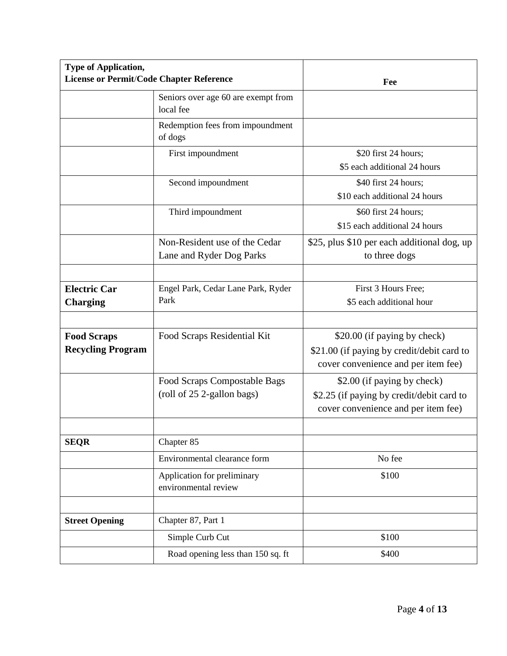| <b>Type of Application,</b>                     |                                                            |                                                                                                                   |
|-------------------------------------------------|------------------------------------------------------------|-------------------------------------------------------------------------------------------------------------------|
| <b>License or Permit/Code Chapter Reference</b> |                                                            | Fee                                                                                                               |
|                                                 | Seniors over age 60 are exempt from<br>local fee           |                                                                                                                   |
|                                                 | Redemption fees from impoundment<br>of dogs                |                                                                                                                   |
|                                                 | First impoundment                                          | \$20 first 24 hours;<br>\$5 each additional 24 hours                                                              |
|                                                 | Second impoundment                                         | \$40 first 24 hours;<br>\$10 each additional 24 hours                                                             |
|                                                 | Third impoundment                                          | \$60 first 24 hours;<br>\$15 each additional 24 hours                                                             |
|                                                 | Non-Resident use of the Cedar<br>Lane and Ryder Dog Parks  | \$25, plus \$10 per each additional dog, up<br>to three dogs                                                      |
| <b>Electric Car</b><br><b>Charging</b>          | Engel Park, Cedar Lane Park, Ryder<br>Park                 | First 3 Hours Free;<br>\$5 each additional hour                                                                   |
|                                                 |                                                            |                                                                                                                   |
| <b>Food Scraps</b><br><b>Recycling Program</b>  | Food Scraps Residential Kit                                | \$20.00 (if paying by check)<br>\$21.00 (if paying by credit/debit card to<br>cover convenience and per item fee) |
|                                                 | Food Scraps Compostable Bags<br>(roll of 25 2-gallon bags) | \$2.00 (if paying by check)<br>\$2.25 (if paying by credit/debit card to<br>cover convenience and per item fee)   |
| <b>SEQR</b>                                     | Chapter 85                                                 |                                                                                                                   |
|                                                 | Environmental clearance form                               | No fee                                                                                                            |
|                                                 | Application for preliminary<br>environmental review        | \$100                                                                                                             |
|                                                 |                                                            |                                                                                                                   |
| <b>Street Opening</b>                           | Chapter 87, Part 1                                         |                                                                                                                   |
|                                                 | Simple Curb Cut                                            | \$100                                                                                                             |
|                                                 | Road opening less than 150 sq. ft                          | \$400                                                                                                             |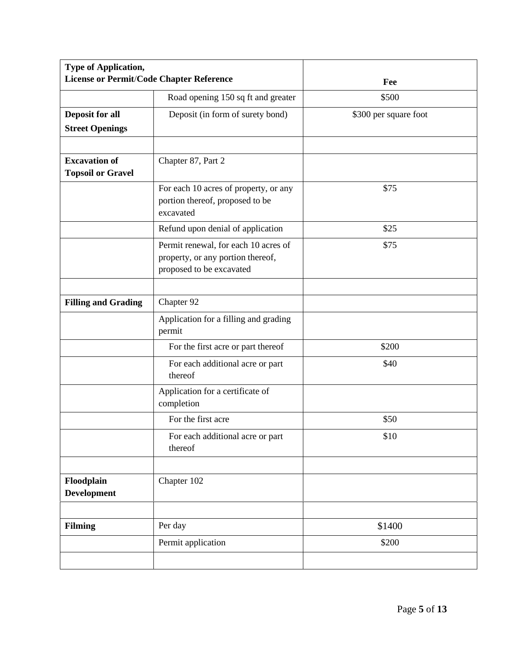| <b>Type of Application,</b><br>License or Permit/Code Chapter Reference |                                                                                                       | Fee                   |  |
|-------------------------------------------------------------------------|-------------------------------------------------------------------------------------------------------|-----------------------|--|
|                                                                         | Road opening 150 sq ft and greater                                                                    | \$500                 |  |
| <b>Deposit for all</b><br><b>Street Openings</b>                        | Deposit (in form of surety bond)                                                                      | \$300 per square foot |  |
|                                                                         |                                                                                                       |                       |  |
| <b>Excavation of</b><br><b>Topsoil or Gravel</b>                        | Chapter 87, Part 2                                                                                    |                       |  |
|                                                                         | For each 10 acres of property, or any<br>portion thereof, proposed to be<br>excavated                 | \$75                  |  |
|                                                                         | Refund upon denial of application                                                                     | \$25                  |  |
|                                                                         | Permit renewal, for each 10 acres of<br>property, or any portion thereof,<br>proposed to be excavated | \$75                  |  |
|                                                                         |                                                                                                       |                       |  |
| <b>Filling and Grading</b>                                              | Chapter 92                                                                                            |                       |  |
|                                                                         | Application for a filling and grading<br>permit                                                       |                       |  |
|                                                                         | For the first acre or part thereof                                                                    | \$200                 |  |
|                                                                         | For each additional acre or part<br>thereof                                                           | \$40                  |  |
|                                                                         | Application for a certificate of<br>completion                                                        |                       |  |
|                                                                         | For the first acre                                                                                    | \$50                  |  |
|                                                                         | For each additional acre or part<br>thereof                                                           | \$10                  |  |
|                                                                         |                                                                                                       |                       |  |
| Floodplain<br><b>Development</b>                                        | Chapter 102                                                                                           |                       |  |
|                                                                         |                                                                                                       |                       |  |
| <b>Filming</b>                                                          | Per day                                                                                               | \$1400                |  |
|                                                                         | Permit application                                                                                    | \$200                 |  |
|                                                                         |                                                                                                       |                       |  |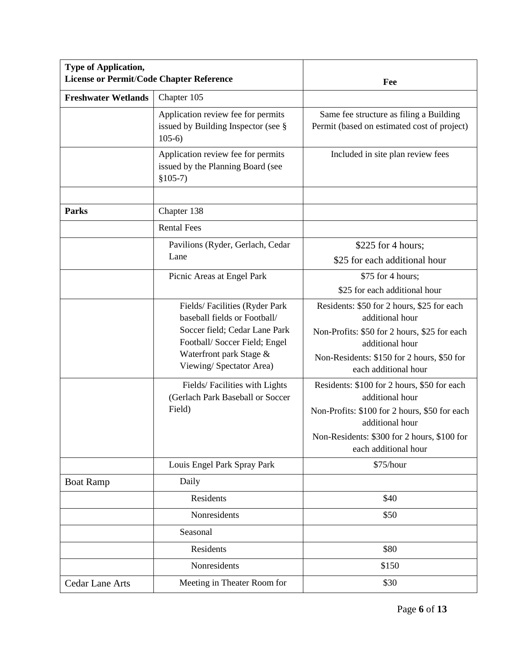| <b>Type of Application,</b><br>License or Permit/Code Chapter Reference |                                                                                                                                                                                      | Fee                                                                                                                                                                                                       |
|-------------------------------------------------------------------------|--------------------------------------------------------------------------------------------------------------------------------------------------------------------------------------|-----------------------------------------------------------------------------------------------------------------------------------------------------------------------------------------------------------|
| <b>Freshwater Wetlands</b>                                              | Chapter 105                                                                                                                                                                          |                                                                                                                                                                                                           |
|                                                                         | Application review fee for permits<br>issued by Building Inspector (see §<br>$105-6$                                                                                                 | Same fee structure as filing a Building<br>Permit (based on estimated cost of project)                                                                                                                    |
|                                                                         | Application review fee for permits<br>issued by the Planning Board (see<br>$$105-7)$                                                                                                 | Included in site plan review fees                                                                                                                                                                         |
| <b>Parks</b>                                                            | Chapter 138                                                                                                                                                                          |                                                                                                                                                                                                           |
|                                                                         | <b>Rental Fees</b>                                                                                                                                                                   |                                                                                                                                                                                                           |
|                                                                         | Pavilions (Ryder, Gerlach, Cedar<br>Lane                                                                                                                                             | \$225 for 4 hours;<br>\$25 for each additional hour                                                                                                                                                       |
|                                                                         | Picnic Areas at Engel Park                                                                                                                                                           | \$75 for 4 hours;<br>\$25 for each additional hour                                                                                                                                                        |
|                                                                         | Fields/Facilities (Ryder Park<br>baseball fields or Football/<br>Soccer field; Cedar Lane Park<br>Football/Soccer Field; Engel<br>Waterfront park Stage &<br>Viewing/Spectator Area) | Residents: \$50 for 2 hours, \$25 for each<br>additional hour<br>Non-Profits: \$50 for 2 hours, \$25 for each<br>additional hour<br>Non-Residents: \$150 for 2 hours, \$50 for<br>each additional hour    |
|                                                                         | Fields/Facilities with Lights<br>(Gerlach Park Baseball or Soccer<br>Field)                                                                                                          | Residents: \$100 for 2 hours, \$50 for each<br>additional hour<br>Non-Profits: \$100 for 2 hours, \$50 for each<br>additional hour<br>Non-Residents: \$300 for 2 hours, \$100 for<br>each additional hour |
|                                                                         | Louis Engel Park Spray Park                                                                                                                                                          | \$75/hour                                                                                                                                                                                                 |
| <b>Boat Ramp</b>                                                        | Daily                                                                                                                                                                                |                                                                                                                                                                                                           |
|                                                                         | Residents                                                                                                                                                                            | \$40                                                                                                                                                                                                      |
|                                                                         | Nonresidents                                                                                                                                                                         | \$50                                                                                                                                                                                                      |
|                                                                         | Seasonal                                                                                                                                                                             |                                                                                                                                                                                                           |
|                                                                         | Residents                                                                                                                                                                            | \$80                                                                                                                                                                                                      |
|                                                                         | Nonresidents                                                                                                                                                                         | \$150                                                                                                                                                                                                     |
| <b>Cedar Lane Arts</b>                                                  | Meeting in Theater Room for                                                                                                                                                          | \$30                                                                                                                                                                                                      |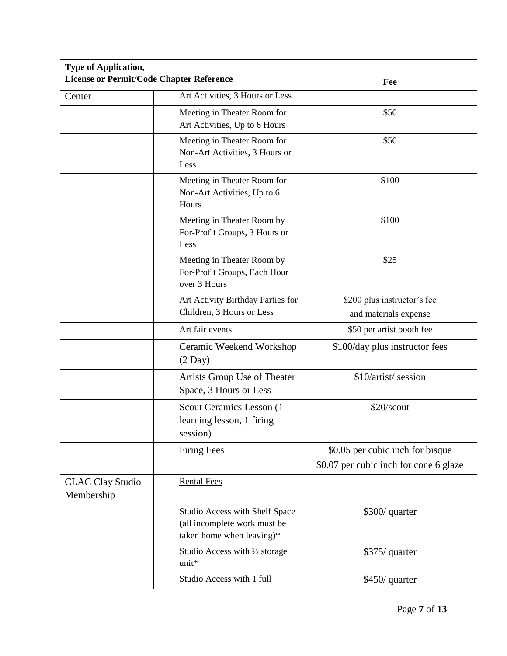| <b>Type of Application,</b><br><b>License or Permit/Code Chapter Reference</b> |                                                                                             | Fee                                    |
|--------------------------------------------------------------------------------|---------------------------------------------------------------------------------------------|----------------------------------------|
| Center                                                                         | Art Activities, 3 Hours or Less                                                             |                                        |
|                                                                                | Meeting in Theater Room for<br>Art Activities, Up to 6 Hours                                | \$50                                   |
|                                                                                | Meeting in Theater Room for<br>Non-Art Activities, 3 Hours or<br>Less                       | \$50                                   |
|                                                                                | Meeting in Theater Room for<br>Non-Art Activities, Up to 6<br>Hours                         | \$100                                  |
|                                                                                | Meeting in Theater Room by<br>For-Profit Groups, 3 Hours or<br>Less                         | \$100                                  |
|                                                                                | Meeting in Theater Room by<br>For-Profit Groups, Each Hour<br>over 3 Hours                  | \$25                                   |
|                                                                                | Art Activity Birthday Parties for                                                           | \$200 plus instructor's fee            |
|                                                                                | Children, 3 Hours or Less                                                                   | and materials expense                  |
|                                                                                | Art fair events                                                                             | \$50 per artist booth fee              |
|                                                                                | Ceramic Weekend Workshop<br>$(2$ Day $)$                                                    | \$100/day plus instructor fees         |
|                                                                                | Artists Group Use of Theater<br>Space, 3 Hours or Less                                      | \$10/artist/ session                   |
|                                                                                | Scout Ceramics Lesson (1)<br>learning lesson, 1 firing<br>session)                          | \$20/scout                             |
|                                                                                | <b>Firing Fees</b>                                                                          | \$0.05 per cubic inch for bisque       |
|                                                                                |                                                                                             | \$0.07 per cubic inch for cone 6 glaze |
| <b>CLAC Clay Studio</b><br>Membership                                          | <b>Rental Fees</b>                                                                          |                                        |
|                                                                                | Studio Access with Shelf Space<br>(all incomplete work must be<br>taken home when leaving)* | \$300/ quarter                         |
|                                                                                | Studio Access with 1/2 storage<br>unit*                                                     | \$375/ quarter                         |
|                                                                                | Studio Access with 1 full                                                                   | \$450/ quarter                         |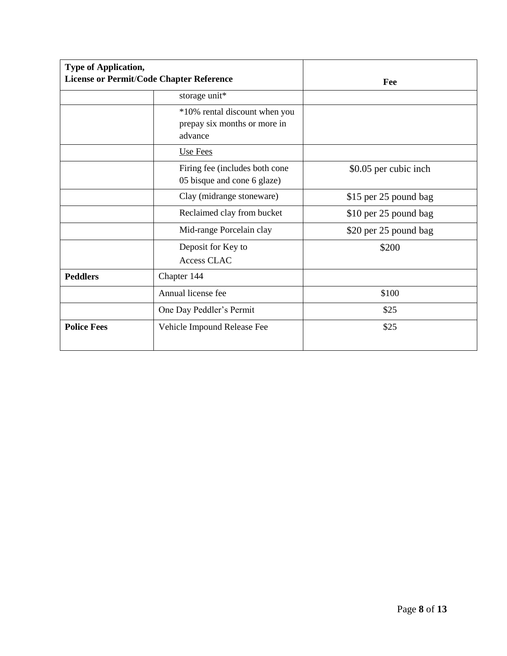| <b>Type of Application,</b>                     |                                                                          |                       |  |
|-------------------------------------------------|--------------------------------------------------------------------------|-----------------------|--|
| <b>License or Permit/Code Chapter Reference</b> |                                                                          | Fee                   |  |
|                                                 | storage unit*                                                            |                       |  |
|                                                 | *10% rental discount when you<br>prepay six months or more in<br>advance |                       |  |
|                                                 | Use Fees                                                                 |                       |  |
|                                                 | Firing fee (includes both cone<br>05 bisque and cone 6 glaze)            | \$0.05 per cubic inch |  |
|                                                 | Clay (midrange stoneware)                                                | \$15 per 25 pound bag |  |
|                                                 | Reclaimed clay from bucket                                               | \$10 per 25 pound bag |  |
|                                                 | Mid-range Porcelain clay                                                 | \$20 per 25 pound bag |  |
|                                                 | Deposit for Key to<br>Access CLAC                                        | \$200                 |  |
| <b>Peddlers</b>                                 | Chapter 144                                                              |                       |  |
|                                                 | Annual license fee                                                       | \$100                 |  |
|                                                 | One Day Peddler's Permit                                                 | \$25                  |  |
| <b>Police Fees</b>                              | Vehicle Impound Release Fee                                              | \$25                  |  |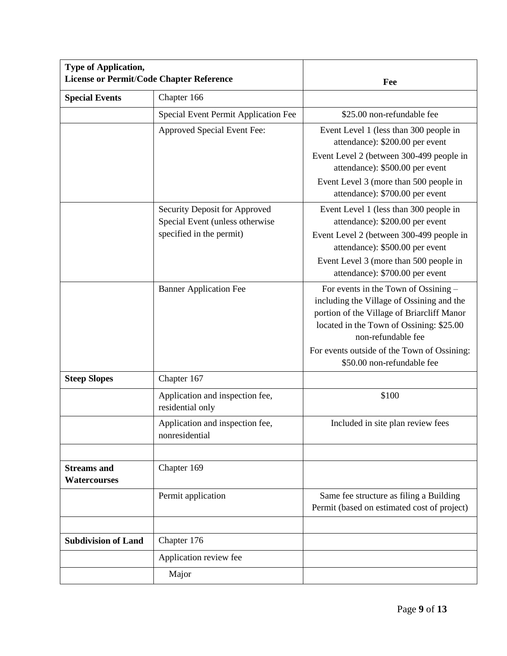| <b>Type of Application,</b><br>License or Permit/Code Chapter Reference |                                                                                              | Fee                                                                                                                                                                                                                                                                            |
|-------------------------------------------------------------------------|----------------------------------------------------------------------------------------------|--------------------------------------------------------------------------------------------------------------------------------------------------------------------------------------------------------------------------------------------------------------------------------|
| <b>Special Events</b>                                                   | Chapter 166                                                                                  |                                                                                                                                                                                                                                                                                |
|                                                                         | Special Event Permit Application Fee                                                         | \$25.00 non-refundable fee                                                                                                                                                                                                                                                     |
|                                                                         | Approved Special Event Fee:                                                                  | Event Level 1 (less than 300 people in<br>attendance): \$200.00 per event<br>Event Level 2 (between 300-499 people in                                                                                                                                                          |
|                                                                         |                                                                                              | attendance): \$500.00 per event<br>Event Level 3 (more than 500 people in<br>attendance): \$700.00 per event                                                                                                                                                                   |
|                                                                         | Security Deposit for Approved<br>Special Event (unless otherwise<br>specified in the permit) | Event Level 1 (less than 300 people in<br>attendance): \$200.00 per event<br>Event Level 2 (between 300-499 people in<br>attendance): \$500.00 per event<br>Event Level 3 (more than 500 people in<br>attendance): \$700.00 per event                                          |
|                                                                         | <b>Banner Application Fee</b>                                                                | For events in the Town of Ossining –<br>including the Village of Ossining and the<br>portion of the Village of Briarcliff Manor<br>located in the Town of Ossining: \$25.00<br>non-refundable fee<br>For events outside of the Town of Ossining:<br>\$50.00 non-refundable fee |
| <b>Steep Slopes</b>                                                     | Chapter 167                                                                                  |                                                                                                                                                                                                                                                                                |
|                                                                         | Application and inspection fee,<br>residential only                                          | \$100                                                                                                                                                                                                                                                                          |
|                                                                         | Application and inspection fee,<br>nonresidential                                            | Included in site plan review fees                                                                                                                                                                                                                                              |
| <b>Streams</b> and<br><b>Watercourses</b>                               | Chapter 169                                                                                  |                                                                                                                                                                                                                                                                                |
|                                                                         | Permit application                                                                           | Same fee structure as filing a Building<br>Permit (based on estimated cost of project)                                                                                                                                                                                         |
| <b>Subdivision of Land</b>                                              | Chapter 176                                                                                  |                                                                                                                                                                                                                                                                                |
|                                                                         | Application review fee                                                                       |                                                                                                                                                                                                                                                                                |
|                                                                         | Major                                                                                        |                                                                                                                                                                                                                                                                                |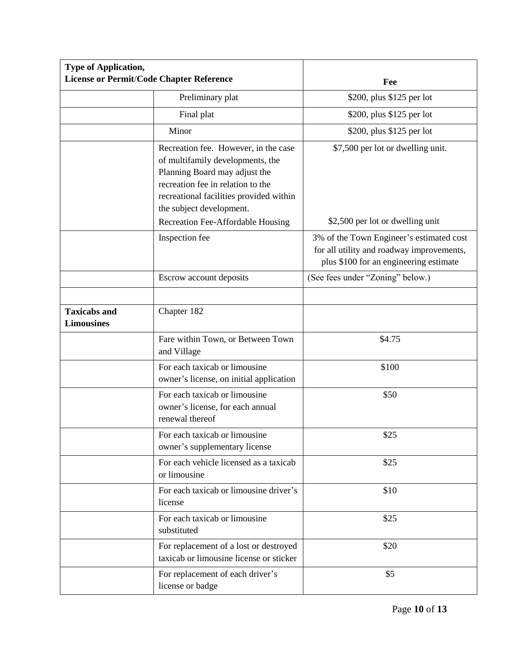| <b>Type of Application,</b><br>License or Permit/Code Chapter Reference |                                                                                                                                                                                                                       | Fee                                                                                                                             |
|-------------------------------------------------------------------------|-----------------------------------------------------------------------------------------------------------------------------------------------------------------------------------------------------------------------|---------------------------------------------------------------------------------------------------------------------------------|
|                                                                         | Preliminary plat                                                                                                                                                                                                      | \$200, plus \$125 per lot                                                                                                       |
|                                                                         | Final plat                                                                                                                                                                                                            | \$200, plus \$125 per lot                                                                                                       |
|                                                                         | Minor                                                                                                                                                                                                                 | \$200, plus \$125 per lot                                                                                                       |
|                                                                         | Recreation fee. However, in the case<br>of multifamily developments, the<br>Planning Board may adjust the<br>recreation fee in relation to the<br>recreational facilities provided within<br>the subject development. | \$7,500 per lot or dwelling unit.                                                                                               |
|                                                                         | Recreation Fee-Affordable Housing                                                                                                                                                                                     | \$2,500 per lot or dwelling unit                                                                                                |
|                                                                         | Inspection fee                                                                                                                                                                                                        | 3% of the Town Engineer's estimated cost<br>for all utility and roadway improvements,<br>plus \$100 for an engineering estimate |
|                                                                         | Escrow account deposits                                                                                                                                                                                               | (See fees under "Zoning" below.)                                                                                                |
|                                                                         |                                                                                                                                                                                                                       |                                                                                                                                 |
| <b>Taxicabs and</b><br><b>Limousines</b>                                | Chapter 182                                                                                                                                                                                                           |                                                                                                                                 |
|                                                                         | Fare within Town, or Between Town<br>and Village                                                                                                                                                                      | \$4.75                                                                                                                          |
|                                                                         | For each taxicab or limousine<br>owner's license, on initial application                                                                                                                                              | \$100                                                                                                                           |
|                                                                         | For each taxicab or limousine<br>owner's license, for each annual<br>renewal thereof                                                                                                                                  | \$50                                                                                                                            |
|                                                                         | For each taxicab or limousine<br>owner's supplementary license                                                                                                                                                        | \$25                                                                                                                            |
|                                                                         | For each vehicle licensed as a taxicab<br>or limousine                                                                                                                                                                | \$25                                                                                                                            |
|                                                                         | For each taxicab or limousine driver's<br>license                                                                                                                                                                     | \$10                                                                                                                            |
|                                                                         | For each taxicab or limousine<br>substituted                                                                                                                                                                          | \$25                                                                                                                            |
|                                                                         | For replacement of a lost or destroyed<br>taxicab or limousine license or sticker                                                                                                                                     | \$20                                                                                                                            |
|                                                                         | For replacement of each driver's<br>license or badge                                                                                                                                                                  | \$5                                                                                                                             |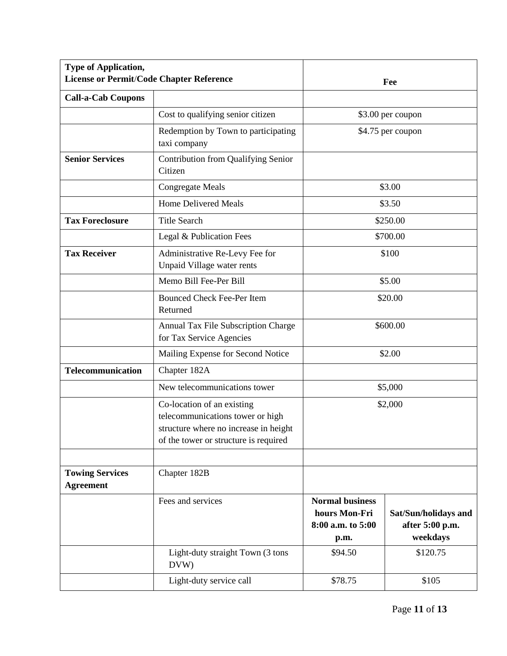| <b>Type of Application,</b><br><b>License or Permit/Code Chapter Reference</b> |                                                                                                                                                  | Fee                                                                  |                                                     |
|--------------------------------------------------------------------------------|--------------------------------------------------------------------------------------------------------------------------------------------------|----------------------------------------------------------------------|-----------------------------------------------------|
| <b>Call-a-Cab Coupons</b>                                                      |                                                                                                                                                  |                                                                      |                                                     |
|                                                                                | Cost to qualifying senior citizen                                                                                                                | \$3.00 per coupon                                                    |                                                     |
|                                                                                | Redemption by Town to participating<br>taxi company                                                                                              | \$4.75 per coupon                                                    |                                                     |
| <b>Senior Services</b>                                                         | Contribution from Qualifying Senior<br>Citizen                                                                                                   |                                                                      |                                                     |
|                                                                                | <b>Congregate Meals</b>                                                                                                                          | \$3.00                                                               |                                                     |
|                                                                                | <b>Home Delivered Meals</b>                                                                                                                      |                                                                      | \$3.50                                              |
| <b>Tax Foreclosure</b>                                                         | <b>Title Search</b>                                                                                                                              | \$250.00                                                             |                                                     |
|                                                                                | Legal & Publication Fees                                                                                                                         | \$700.00                                                             |                                                     |
| <b>Tax Receiver</b>                                                            | Administrative Re-Levy Fee for<br>Unpaid Village water rents                                                                                     | \$100                                                                |                                                     |
|                                                                                | Memo Bill Fee-Per Bill                                                                                                                           | \$5.00                                                               |                                                     |
|                                                                                | <b>Bounced Check Fee-Per Item</b><br>Returned                                                                                                    | \$20.00                                                              |                                                     |
|                                                                                | Annual Tax File Subscription Charge<br>for Tax Service Agencies                                                                                  | \$600.00                                                             |                                                     |
|                                                                                | Mailing Expense for Second Notice                                                                                                                | \$2.00                                                               |                                                     |
| <b>Telecommunication</b>                                                       | Chapter 182A                                                                                                                                     | \$5,000                                                              |                                                     |
|                                                                                | New telecommunications tower                                                                                                                     |                                                                      |                                                     |
|                                                                                | Co-location of an existing<br>telecommunications tower or high<br>structure where no increase in height<br>of the tower or structure is required | \$2,000                                                              |                                                     |
|                                                                                |                                                                                                                                                  |                                                                      |                                                     |
| <b>Towing Services</b><br><b>Agreement</b>                                     | Chapter 182B                                                                                                                                     |                                                                      |                                                     |
|                                                                                | Fees and services                                                                                                                                | <b>Normal business</b><br>hours Mon-Fri<br>8:00 a.m. to 5:00<br>p.m. | Sat/Sun/holidays and<br>after 5:00 p.m.<br>weekdays |
|                                                                                | Light-duty straight Town (3 tons<br>DVW)                                                                                                         | \$94.50                                                              | \$120.75                                            |
|                                                                                | Light-duty service call                                                                                                                          | \$78.75                                                              | \$105                                               |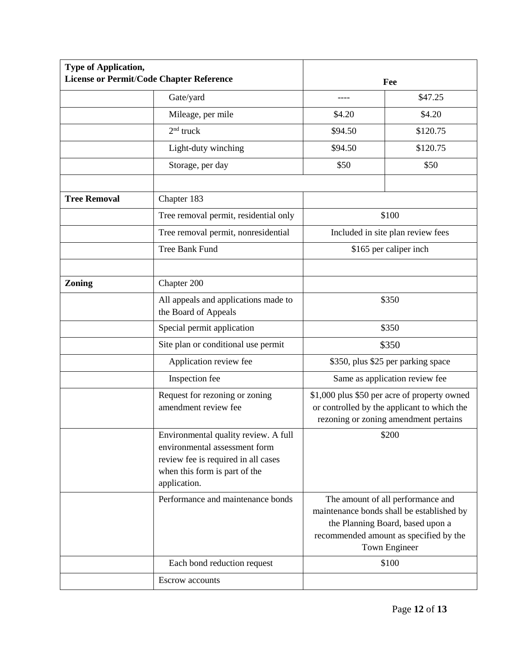| <b>Type of Application,</b> | <b>License or Permit/Code Chapter Reference</b>                                                                                                               |                                                                                                                                                                                                                                                                                                                                                                                                                 | Fee      |
|-----------------------------|---------------------------------------------------------------------------------------------------------------------------------------------------------------|-----------------------------------------------------------------------------------------------------------------------------------------------------------------------------------------------------------------------------------------------------------------------------------------------------------------------------------------------------------------------------------------------------------------|----------|
|                             | Gate/yard                                                                                                                                                     |                                                                                                                                                                                                                                                                                                                                                                                                                 | \$47.25  |
|                             | Mileage, per mile                                                                                                                                             | \$4.20                                                                                                                                                                                                                                                                                                                                                                                                          | \$4.20   |
|                             | $2nd$ truck                                                                                                                                                   | \$94.50                                                                                                                                                                                                                                                                                                                                                                                                         | \$120.75 |
|                             | Light-duty winching                                                                                                                                           | \$94.50                                                                                                                                                                                                                                                                                                                                                                                                         | \$120.75 |
|                             | Storage, per day                                                                                                                                              | \$50                                                                                                                                                                                                                                                                                                                                                                                                            | \$50     |
| <b>Tree Removal</b>         | Chapter 183                                                                                                                                                   |                                                                                                                                                                                                                                                                                                                                                                                                                 |          |
|                             | Tree removal permit, residential only                                                                                                                         | \$100                                                                                                                                                                                                                                                                                                                                                                                                           |          |
|                             | Tree removal permit, nonresidential                                                                                                                           |                                                                                                                                                                                                                                                                                                                                                                                                                 |          |
|                             | <b>Tree Bank Fund</b>                                                                                                                                         | Included in site plan review fees                                                                                                                                                                                                                                                                                                                                                                               |          |
|                             |                                                                                                                                                               | \$165 per caliper inch                                                                                                                                                                                                                                                                                                                                                                                          |          |
| <b>Zoning</b>               | Chapter 200                                                                                                                                                   |                                                                                                                                                                                                                                                                                                                                                                                                                 |          |
|                             | All appeals and applications made to<br>the Board of Appeals                                                                                                  | \$350                                                                                                                                                                                                                                                                                                                                                                                                           |          |
|                             | Special permit application                                                                                                                                    | \$350                                                                                                                                                                                                                                                                                                                                                                                                           |          |
|                             | Site plan or conditional use permit                                                                                                                           | \$350<br>\$350, plus \$25 per parking space<br>Same as application review fee<br>\$1,000 plus \$50 per acre of property owned<br>or controlled by the applicant to which the<br>rezoning or zoning amendment pertains<br>\$200<br>The amount of all performance and<br>maintenance bonds shall be established by<br>the Planning Board, based upon a<br>recommended amount as specified by the<br>Town Engineer |          |
|                             | Application review fee                                                                                                                                        |                                                                                                                                                                                                                                                                                                                                                                                                                 |          |
|                             | Inspection fee                                                                                                                                                |                                                                                                                                                                                                                                                                                                                                                                                                                 |          |
|                             | Request for rezoning or zoning<br>amendment review fee                                                                                                        |                                                                                                                                                                                                                                                                                                                                                                                                                 |          |
|                             | Environmental quality review. A full<br>environmental assessment form<br>review fee is required in all cases<br>when this form is part of the<br>application. |                                                                                                                                                                                                                                                                                                                                                                                                                 |          |
|                             | Performance and maintenance bonds                                                                                                                             |                                                                                                                                                                                                                                                                                                                                                                                                                 |          |
|                             | Each bond reduction request                                                                                                                                   |                                                                                                                                                                                                                                                                                                                                                                                                                 | \$100    |
|                             | Escrow accounts                                                                                                                                               |                                                                                                                                                                                                                                                                                                                                                                                                                 |          |